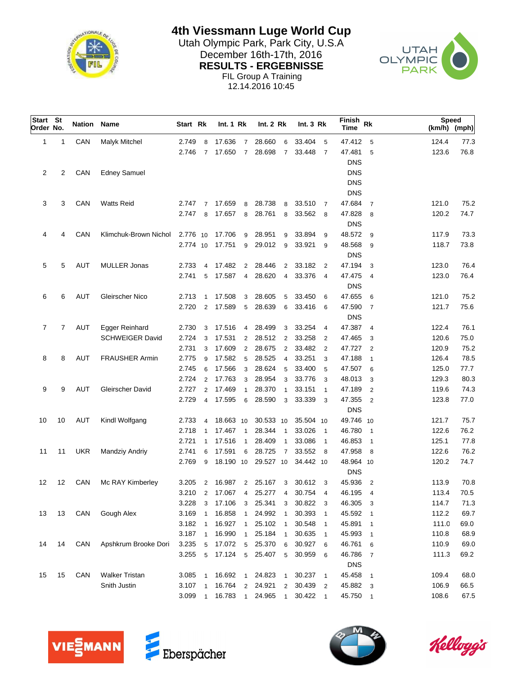

## **4th Viessmann Luge World Cup**

Utah Olympic Park, Park City, U.S.A<br>Desember 16th-17th, 2016 December 16th-17th, 2016<br>
RESULTS - ERGEBNISSE<br>
PARK **RESULTS - ERGEBNISSE** FIL Group A Training



12.14.2016 10:45

| Start St<br>Order No. |    | <b>Nation Name</b> |                        | Start Rk |                | Int. 1 Rk |                | Int. 2 Rk |                 | Int.3 Rk  |                            | Finish<br><b>Time</b> | Rk                         | <b>Speed</b><br>(km/h) (mph) |      |
|-----------------------|----|--------------------|------------------------|----------|----------------|-----------|----------------|-----------|-----------------|-----------|----------------------------|-----------------------|----------------------------|------------------------------|------|
| 1                     | 1  | CAN                | Malyk Mitchel          | 2.749    | 8              | 17.636    | $\overline{7}$ | 28.660    | 6               | 33.404    | 5                          | 47.412                | 5                          | 124.4                        | 77.3 |
|                       |    |                    |                        | 2.746    | $\overline{7}$ | 17.650    | $\overline{7}$ | 28.698    | $\overline{7}$  | 33.448    | $\overline{7}$             | 47.481                | 5                          | 123.6                        | 76.8 |
|                       |    |                    |                        |          |                |           |                |           |                 |           |                            | <b>DNS</b>            |                            |                              |      |
| $\overline{c}$        | 2  | CAN                | <b>Edney Samuel</b>    |          |                |           |                |           |                 |           |                            | <b>DNS</b>            |                            |                              |      |
|                       |    |                    |                        |          |                |           |                |           |                 |           |                            | <b>DNS</b>            |                            |                              |      |
|                       |    |                    |                        |          |                |           |                |           |                 |           |                            | <b>DNS</b>            |                            |                              |      |
| 3                     | 3  | CAN                | <b>Watts Reid</b>      | 2.747 7  |                | 17.659    | 8              | 28.738    | 8               | 33.510    | $\overline{7}$             | 47.684                | $\overline{7}$             | 121.0                        | 75.2 |
|                       |    |                    |                        | 2.747    | 8              | 17.657    | 8              | 28.761    | 8               | 33.562    | - 8                        | 47.828                | - 8                        | 120.2                        | 74.7 |
|                       |    |                    |                        |          |                |           |                |           |                 |           |                            | <b>DNS</b>            |                            |                              |      |
| 4                     | 4  | CAN                | Klimchuk-Brown Nichol  | 2.776 10 |                | 17.706    | 9              | 28.951    | 9               | 33.894    | 9                          | 48.572 9              |                            | 117.9                        | 73.3 |
|                       |    |                    |                        | 2.774 10 |                | 17.751    | 9              | 29.012    | 9               | 33.921    | 9                          | 48.568                | 9                          | 118.7                        | 73.8 |
|                       |    |                    |                        |          |                |           |                |           |                 |           |                            | <b>DNS</b>            |                            |                              |      |
| 5                     | 5  | <b>AUT</b>         | <b>MULLER Jonas</b>    | 2.733    |                | 4 17.482  | $\overline{2}$ | 28.446    | $\overline{2}$  | 33.182    | $\overline{2}$             | 47.194                | 3                          | 123.0                        | 76.4 |
|                       |    |                    |                        | 2.741    | 5              | 17.587    | 4              | 28.620    | $\overline{4}$  | 33.376    | $\overline{4}$             | 47.475                | $\overline{4}$             | 123.0                        | 76.4 |
|                       |    |                    |                        |          |                |           |                |           |                 |           |                            | <b>DNS</b>            |                            |                              |      |
| 6                     | 6  | <b>AUT</b>         | Gleirscher Nico        | 2.713    | $\mathbf{1}$   | 17.508    | 3              | 28.605    | 5               | 33.450    | 6                          | 47.655                | 6                          | 121.0                        | 75.2 |
|                       |    |                    |                        | 2.720    | 2              | 17.589    | 5              | 28.639    | 6               | 33.416    | 6                          | 47.590                | $\overline{7}$             | 121.7                        | 75.6 |
|                       |    |                    |                        |          |                |           |                |           |                 |           |                            | <b>DNS</b>            |                            |                              |      |
| 7                     | 7  | <b>AUT</b>         | Egger Reinhard         | 2.730    | 3              | 17.516    | $\overline{4}$ | 28.499    | 3               | 33.254    | $\overline{4}$             | 47.387                | $\overline{4}$             | 122.4                        | 76.1 |
|                       |    |                    | <b>SCHWEIGER David</b> | 2.724    | 3              | 17.531    | $\overline{2}$ | 28.512    | 2               | 33.258    | 2                          | 47.465                | 3                          | 120.6                        | 75.0 |
|                       |    |                    |                        | 2.731    | 3              | 17.609    | $\overline{2}$ | 28.675    | $\overline{2}$  | 33.482    | 2                          | 47.727                | $\overline{2}$             | 120.9                        | 75.2 |
| 8                     | 8  | <b>AUT</b>         | <b>FRAUSHER Armin</b>  | 2.775    | 9              | 17.582    | 5              | 28.525    | $\overline{4}$  | 33.251    | 3                          | 47.188                | $\overline{1}$             | 126.4                        | 78.5 |
|                       |    |                    |                        | 2.745    | 6              | 17.566    | 3              | 28.624    | 5               | 33.400    | 5                          | 47.507                | 6                          | 125.0                        | 77.7 |
|                       |    |                    |                        | 2.724    | $\overline{2}$ | 17.763    | 3              | 28.954    | 3               | 33.776    | 3                          | 48.013                | 3                          | 129.3                        | 80.3 |
| 9                     | 9  | AUT                | Gleirscher David       | 2.727    | $\overline{2}$ | 17.469    | $\mathbf{1}$   | 28.370    | $\overline{1}$  | 33.151    | $\overline{1}$             | 47.189                | $\overline{2}$             | 119.6                        | 74.3 |
|                       |    |                    |                        | 2.729    | 4              | 17.595    | 6              | 28.590    | 3               | 33.339    | 3                          | 47.355                | $\overline{2}$             | 123.8                        | 77.0 |
|                       |    |                    |                        |          |                |           |                |           |                 |           |                            | <b>DNS</b>            |                            |                              |      |
| 10                    | 10 | AUT                | Kindl Wolfgang         | 2.733    | $\overline{4}$ | 18.663 10 |                | 30.533 10 |                 | 35.504 10 |                            | 49.746 10             |                            | 121.7                        | 75.7 |
|                       |    |                    |                        | 2.718    | $\overline{1}$ | 17.467    | $\overline{1}$ | 28.344    | $\overline{1}$  | 33.026    | $\overline{1}$             | 46.780                | $\overline{1}$             | 122.6                        | 76.2 |
|                       |    |                    |                        | 2.721    | $\mathbf{1}$   | 17.516    | $\overline{1}$ | 28.409    | $\overline{1}$  | 33.086    | $\overline{\phantom{0}}$   | 46.853                | $\overline{1}$             | 125.1                        | 77.8 |
| 11                    | 11 | <b>UKR</b>         | Mandziy Andriy         | 2.741    | 6              | 17.591    | 6              | 28.725    | $\overline{7}$  | 33.552 8  |                            | 47.958                | 8                          | 122.6                        | 76.2 |
|                       |    |                    |                        | 2.769    | 9              | 18.190 10 |                | 29.527 10 |                 | 34.442 10 |                            | 48.964 10             |                            | 120.2                        | 74.7 |
|                       |    |                    |                        |          |                |           |                |           |                 |           |                            | <b>DNS</b>            |                            |                              |      |
| 12                    | 12 | CAN                | Mc RAY Kimberley       | 3.205    | $\overline{2}$ | 16.987    | $\overline{2}$ | 25.167    | 3               | 30.612    | $\overline{\mathbf{3}}$    | 45.936                | $\overline{2}$             | 113.9                        | 70.8 |
|                       |    |                    |                        | 3.210    | $\overline{2}$ | 17.067    | $\overline{4}$ | 25.277    | $\overline{4}$  | 30.754    | $\overline{4}$             | 46.195                | $\overline{4}$             | 113.4                        | 70.5 |
|                       |    |                    |                        | 3.228    | 3              | 17.106    | 3              | 25.341    | 3               | 30.822    | $\overline{\mathbf{3}}$    | 46.305                | $\overline{\mathbf{3}}$    | 114.7                        | 71.3 |
| 13                    | 13 | CAN                | Gough Alex             | 3.169    | $\overline{1}$ | 16.858    | $\overline{1}$ | 24.992    | $\overline{1}$  | 30.393    | $\overline{\phantom{0}}$   | 45.592                | $\overline{\phantom{0}}$ 1 | 112.2                        | 69.7 |
|                       |    |                    |                        | 3.182    | $\overline{1}$ | 16.927    | $\overline{1}$ | 25.102    | $\overline{1}$  | 30.548    | $\overline{1}$             | 45.891                | $\mathbf{1}$               | 111.0                        | 69.0 |
|                       |    |                    |                        | 3.187    | $\overline{1}$ | 16.990    | $\overline{1}$ | 25.184    | $\overline{1}$  | 30.635    | $\overline{\phantom{0}}$   | 45.993                | $\mathbf{1}$               | 110.8                        | 68.9 |
| 14                    | 14 | CAN                | Apshkrum Brooke Dori   | 3.235    | 5              | 17.072    | 5              | 25.370    | 6               | 30.927    | - 6                        | 46.761                | 6                          | 110.9                        | 69.0 |
|                       |    |                    |                        | 3.255    | 5              | 17.124    | 5              | 25.407    | $5\phantom{.0}$ | 30.959    | - 6                        | 46.786                | $\overline{7}$             | 111.3                        | 69.2 |
|                       |    |                    |                        |          |                |           |                |           |                 |           |                            | <b>DNS</b>            |                            |                              |      |
| 15                    | 15 | CAN                | <b>Walker Tristan</b>  | 3.085    | $\overline{1}$ | 16.692    | $\overline{1}$ | 24.823    | $\overline{1}$  | 30.237    | $\overline{1}$             | 45.458                | $\overline{1}$             | 109.4                        | 68.0 |
|                       |    |                    | Snith Justin           | 3.107    | $\overline{1}$ | 16.764    | $\overline{2}$ | 24.921    | $\overline{2}$  | 30.439    | $\overline{\mathbf{2}}$    | 45.882                | 3                          | 106.9                        | 66.5 |
|                       |    |                    |                        | 3.099    | $\overline{1}$ | 16.783    | $\overline{1}$ | 24.965    | $\mathbf{1}$    | 30.422    | $\overline{\phantom{0}}$ 1 | 45.750                | $\overline{\phantom{0}}$ 1 | 108.6                        | 67.5 |





Kelloggis